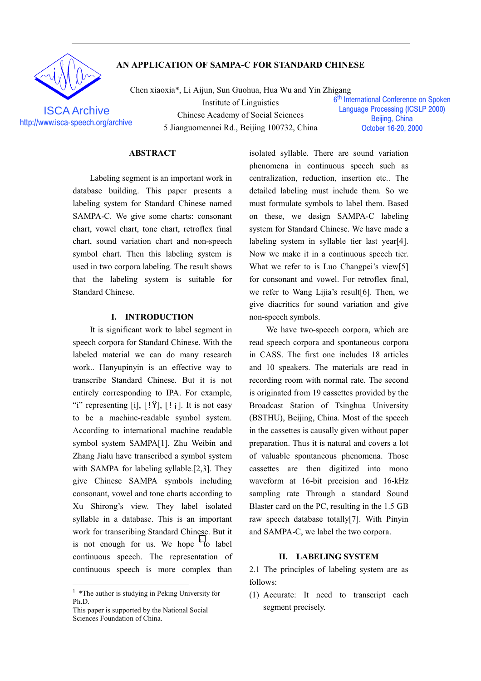

**ISCA Archive** 

# AN APPLICATION OF SAMPA-C FOR STANDARD CHINESE

Chen xiaoxia\*, Li Aijun, Sun Guohua, Hua Wu and Yin Zhigang Institute of Linguistics Chinese Academy of Social Sciences http://www.isca-speech.org/archive 5 Jianguomennei Rd., Beijing 100732, China

6<sup>th</sup> International Conference on Spoken **Language Processing (ICSLP 2000)** Beiling, China October 16-20, 2000

## **ABSTRACT**

Labeling segment is an important work in database building. This paper presents a labeling system for Standard Chinese named SAMPA-C. We give some charts: consonant chart, vowel chart, tone chart, retroflex final chart, sound variation chart and non-speech symbol chart. Then this labeling system is used in two corpora labeling. The result shows that the labeling system is suitable for Standard Chinese.

## I. INTRODUCTION

It is significant work to label segment in speech corpora for Standard Chinese. With the labeled material we can do many research work.. Hanyupinyin is an effective way to transcribe Standard Chinese. But it is not entirely corresponding to IPA. For example, "i" representing [i],  $[!\overline{Y}]$ ,  $[!\overline{Y}]$ ,  $[!\overline{Y}]$ . It is not easy to be a machine-readable symbol system. According to international machine readable symbol system SAMPA[1], Zhu Weibin and Zhang Jialu have transcribed a symbol system with SAMPA for labeling syllable.[2,3]. They give Chinese SAMPA symbols including consonant, vowel and tone charts according to Xu Shirong's view. They label isolated syllable in a database. This is an important work for transcribing Standard Chinese. But it is not enough for us. We hope  $1$  to label continuous speech. The representation of continuous speech is more complex than

isolated syllable. There are sound variation phenomena in continuous speech such as centralization, reduction, insertion etc.. The detailed labeling must include them. So we must formulate symbols to label them. Based on these, we design SAMPA-C labeling system for Standard Chinese. We have made a labeling system in syllable tier last year[4]. Now we make it in a continuous speech tier. What we refer to is Luo Changpei's view[5] for consonant and vowel. For retroflex final, we refer to Wang Lijia's result[6]. Then, we give diacritics for sound variation and give non-speech symbols.

We have two-speech corpora, which are read speech corpora and spontaneous corpora in CASS. The first one includes 18 articles and 10 speakers. The materials are read in recording room with normal rate. The second is originated from 19 cassettes provided by the Broadcast Station of Tsinghua University (BSTHU), Beijing, China. Most of the speech in the cassettes is causally given without paper preparation. Thus it is natural and covers a lot of valuable spontaneous phenomena. Those cassettes are then digitized into mono waveform at 16-bit precision and 16-kHz sampling rate Through a standard Sound Blaster card on the PC, resulting in the 1.5 GB raw speech database totally[7]. With Pinyin and SAMPA-C, we label the two corpora.

## **II. LABELING SYSTEM**

2.1 The principles of labeling system are as  $follows$ 

(1) Accurate: It need to transcript each segment precisely.

<sup>&</sup>lt;sup>1</sup> \*The author is studying in Peking University for Ph.D.

This paper is supported by the National Social Sciences Foundation of China.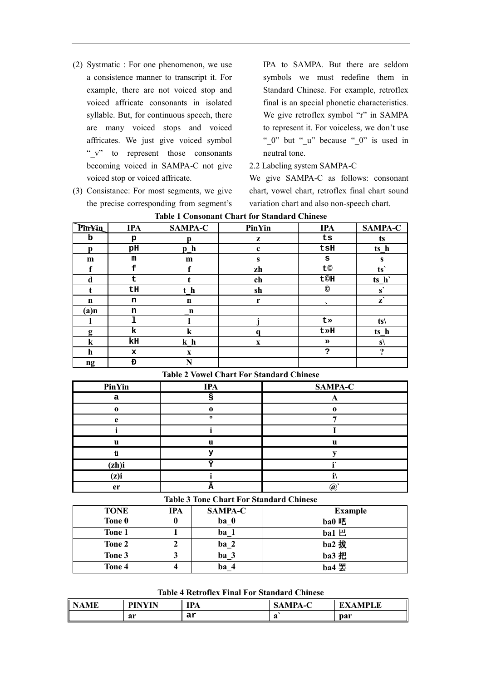- (2) Systmatic : For one phenomenon, we use a consistence manner to transcript it. For example, there are not voiced stop and voiced affricate consonants in isolated syllable. But, for continuous speech, there are many voiced stops and voiced affricates. We just give voiced symbol " v" to represent those consonants becoming voiced in SAMPA-C not give voiced stop or voiced affricate.
- (3) Consistance: For most segments, we give the precise corresponding from segment's

IPA to SAMPA. But there are seldom symbols we must redefine them in Standard Chinese. For example, retroflex final is an special phonetic characteristics. We give retroflex symbol "r" in SAMPA to represent it. For voiceless, we don't use " 0" but " u" because " 0" is used in neutral tone.

2.2 Labeling system SAMPA-C

We give SAMPA-C as follows: consonant chart, yowel chart, retroflex final chart sound variation chart and also non-speech chart.

| Pin¥in      | <b>IPA</b> | <b>SAMPA-C</b> | <b>PinYin</b> | <b>IPA</b>     | <b>SAMPA-C</b>             |
|-------------|------------|----------------|---------------|----------------|----------------------------|
| b           | p          | n              | z             | ts             | ts                         |
| р           | рH         | p h            | $\mathbf c$   | $t$ s $H$      | ts h                       |
| m           | m          | m              | S             | S              | S                          |
| f           | £          | f              | zh            | t©             | ts'                        |
| d           | t          |                | ch            | <b>t©H</b>     | ts h                       |
| t           | tH         | t h            | sh            | $\circledcirc$ | $\mathbf{s}'$              |
| $\mathbf n$ | n          | n              | r             | $\bullet$      | $\mathbf{z}^{\prime}$      |
| $(a)$ n     | n          | $\mathbf{n}$   |               |                |                            |
|             | ı          |                |               | t»             | $ts \setminus$             |
| g           | k          | k              | a             | t»H            | ts h                       |
| $\bf k$     | kH         | $k$ h          | $\mathbf X$   | $\rightarrow$  | $s\langle$                 |
| $\mathbf h$ | x          | X              |               | ?              | $\boldsymbol{\mathcal{P}}$ |
| ng          | Đ          | N              |               |                |                            |

| <b>Table 1 Consonant Chart for Standard Chinese</b> |  |  |  |  |  |
|-----------------------------------------------------|--|--|--|--|--|
|-----------------------------------------------------|--|--|--|--|--|

| PinYin   | <b>IPA</b> | <b>SAMPA-C</b> |
|----------|------------|----------------|
| а        |            |                |
| $\Omega$ | £          |                |
| e        | ົ          |                |
|          |            |                |
| u        | u          |                |
|          |            |                |
| (zh)i    | H          |                |
| (z)i     |            |                |
| er       | ÷          | (a             |

**Table 2 Vowel Chart For Standard Chinese** 

## **Table 3 Tone Chart For Standard Chinese**

| <b>TONE</b> | IPA | <b>SAMPA-C</b>  | <b>Example</b> |
|-------------|-----|-----------------|----------------|
| Tone 0      |     | ba 0            | ba0 吧          |
| Tone 1      |     | ba 1            | bal $E$        |
| Tone 2      |     | ba <sub>2</sub> | $ba2$ 拔        |
| Tone 3      |     | ba 3            | ba3 把          |
| Tone 4      |     | ba 4            | ba4 罢          |

#### **Table 4 Retroflex Final For Standard Chinese**

| .ME | <b>DIMWIN</b> | <b>IPA</b> | $^{\circ}$ TPA-C | <b>MPLE</b><br>. |
|-----|---------------|------------|------------------|------------------|
|     | ar            | ar         | a                | par              |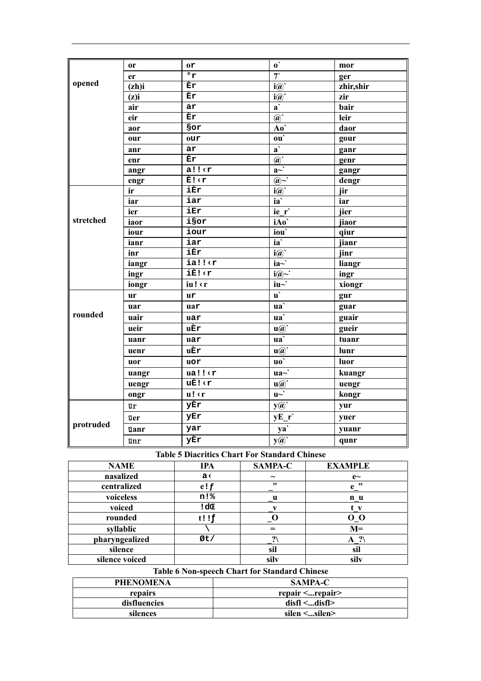|           | <b>or</b>   | 0r                                                                                          | $\mathbf{0}^{\mathbf{1}}$                                   | mor       |
|-----------|-------------|---------------------------------------------------------------------------------------------|-------------------------------------------------------------|-----------|
|           | er          | $\overline{\cdot r}$                                                                        | $\overline{\tau}$                                           | ger       |
| opened    | (zh)i       | Èr                                                                                          | $i(\widehat{a})$                                            | zhir,shir |
|           | (z)i        | Èr                                                                                          | $i(\widehat{a})$                                            | zir       |
|           | air         | ar                                                                                          | $\overline{a}$                                              | bair      |
|           | eir         | Èr                                                                                          | $\omega$                                                    | leir      |
|           | aor         | Sor                                                                                         | Ao`                                                         | daor      |
|           | our         | our                                                                                         | ou'                                                         | gour      |
|           | anr         | ar                                                                                          | $\overline{a}$                                              | ganr      |
|           | enr         | Èr                                                                                          | $\omega$                                                    | genr      |
|           | angr        | a!!                                                                                         | $a^{\overrightarrow{a}}$                                    | gangr     |
|           | engr        | È! <r< td=""><td><math>\omega \sim</math></td><td>dengr</td></r<>                           | $\omega \sim$                                               | dengr     |
|           | ir          | iÈr                                                                                         | $i(\overline{\omega})$                                      | jir       |
|           | iar         | iar                                                                                         | $i\mathbf{a}$                                               | iar       |
|           | ier         | iEr                                                                                         | ie r                                                        | jier      |
| stretched | iaor        | isor                                                                                        | iAo`                                                        | jiaor     |
|           | iour        | iour                                                                                        | iou'                                                        | qiur      |
|           | ianr        | iar                                                                                         | $\overline{ia}$                                             | jianr     |
|           | inr         | iÈr                                                                                         | $\mathbf{i}(\widehat{\boldsymbol{a}})$                      | jinr      |
|           | iangr       | ia!! <r< td=""><td><math>i\mathbf{a} \sim</math></td><td>liangr</td></r<>                   | $i\mathbf{a} \sim$                                          | liangr    |
|           | ingr        | iÈ! <r< td=""><td><math>i(\widehat{a})\sim</math></td><td>ingr</td></r<>                    | $i(\widehat{a})\sim$                                        | ingr      |
|           | iongr       | iu! <r< td=""><td><math>iu \sim</math></td><td>xiongr</td></r<>                             | $iu \sim$                                                   | xiongr    |
|           | <b>ur</b>   | ur                                                                                          | $\mathbf{u}^{\mathbf{v}}$                                   | gur       |
|           | uar         | uar                                                                                         | ua`                                                         | guar      |
| rounded   | uair        | uar                                                                                         | ua`                                                         | guair     |
|           | ueir        | uÈr                                                                                         | $\mathbf{u}(\widehat{\boldsymbol{a}})$                      | gueir     |
|           | uanr        | uar                                                                                         | ua`                                                         | tuanr     |
|           | uenr        | uÈr                                                                                         | $\mathbf{u}(\widehat{\boldsymbol{a}})$                      | lunr      |
|           | uor         | uor                                                                                         | $\mathbf{u}\mathbf{o}$                                      | luor      |
|           | uangr       | ual!                                                                                        | $u\overline{a}$ <sup><math>\overline{\sqrt{a}}</math></sup> | kuangr    |
|           | uengr       | uÈ! <r< td=""><td><math>\mathbf{u}(\widehat{\boldsymbol{a}})</math></td><td>uengr</td></r<> | $\mathbf{u}(\widehat{\boldsymbol{a}})$                      | uengr     |
|           | ongr        | u!                                                                                          | $u\sim$                                                     | kongr     |
|           | ür          | yÈr                                                                                         | $y(\mathbf{Q})$                                             | yur       |
|           | üer         | yEr                                                                                         | $yE_r$                                                      | yuer      |
| protruded | <b>üanr</b> | yar                                                                                         | ya`                                                         | yuanr     |
|           | ünr         | yÈr                                                                                         | $y(\mathbf{z})$                                             | qunr      |

| <b>NAME</b>    | <b>IPA</b> | SAMPA-C               | <b>EXAMPLE</b> |
|----------------|------------|-----------------------|----------------|
| nasalized      | a<         | $\tilde{\phantom{a}}$ | $e$ ~          |
| centralized    | e!f        | ,,                    | ,,,<br>e       |
| voiceless      | n!%        | u                     | n <sub>u</sub> |
| voiced         | !dŒ        |                       | $\mathbf{v}$   |
| rounded        | $t!$ !     |                       | о о            |
| syllablic      |            | ═                     | $M=$           |
| pharyngealized | Øt/        | $\boldsymbol{\eta}$   | $A$ ?          |
| silence        |            | sil                   | sil            |
| silence voiced |            | silv                  | silv           |

# Table 6 Non-speech Chart for Standard Chinese

| <b>PHENOMENA</b> | <b>SAMPA-C</b>              |  |
|------------------|-----------------------------|--|
| repairs          | repair $\leq$ repair $\geq$ |  |
| disfluencies     | dist1 <  dist1 >            |  |
| silences         | silen $\leq$ silen $>$      |  |